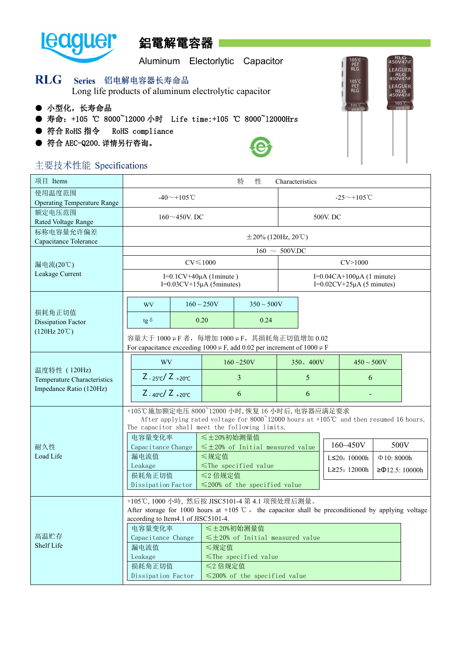

# 鋁電解電容器

Aluminum Electorlytic Capacitor

|            | RLG Series 铝电解电容器长寿命品<br>Long life products of aluminum electrolytic capacitor |  |                                                           |  |
|------------|--------------------------------------------------------------------------------|--|-----------------------------------------------------------|--|
| ● 小型化,长寿命品 |                                                                                |  | ● 寿命: +105 ℃ 8000~12000 小时 Life time:+105 ℃ 8000~12000Hrs |  |

- 符合 RoHS 指令 RoHS compliance
- **符合 AEC-Q200. 详情另行咨询。**



**RLG**<br>450V47<sup>F</sup>

LEAGUER RLG<br>450V47

LEAGUER RLG<br>450V47JF  $105^{\circ}$ C

105°C<br>PET<br>RLG

105°C<br>PET<br>RLG

 $105^{\circ}$ C

### 主要技术性能 Specifications

| 使用温度范围<br>$-40$ $-$ +105 °C<br>$-25 \sim +105$ °C<br><b>Operating Temperature Range</b><br>额定电压范围<br>$160 \sim 450$ V. DC<br>500V. DC<br>Rated Voltage Range<br>标称电容量允许偏差<br>$\pm 20\%$ (120Hz, 20°C)<br>Capacitance Tolerance<br>$160 \sim 500$ V.DC<br>$CV \le 1000$<br>CV > 1000<br>漏电流(20℃)<br>Leakage Current<br>I= $0.1$ CV+40 $\mu$ A (1minute)<br>I=0.04CA+100μA (1 minute)<br>I= $0.02$ CV+ $25\mu$ A (5 minutes)<br>I= $0.03$ CV+15 $\mu$ A (5minutes)<br>$160 \sim 250V$<br>$350 \sim 500V$<br><b>WV</b><br>损耗角正切值<br>0.20<br>0.24<br>$tg \delta$<br>Dissipation Factor<br>(120Hz20°C)<br>容量大于 1000 µ F 者, 每增加 1000 µ F, 其損耗角正切值增加 0.02<br>For capacitance exceeding 1000 $\mu$ F, add 0.02 per increment of 1000 $\mu$ F<br>$160 - 250V$<br><b>WV</b><br>350、400V<br>$450 \sim 500V$<br>温度特性 (120Hz)<br>$Z_{-25\degree}C/Z_{+20\degree}C$<br>3<br>5<br>6<br>Temperature Characteristics<br>Impedance Ratio (120Hz)<br>$Z_{-40^{\circ}C}/Z_{+20^{\circ}C}$<br>6<br>6<br>+105℃施加额定电压 8000~12000 小时, 恢复 16 小时后, 电容器应满足要求<br>After applying rated voltage for 8000 <sup>~</sup> 12000 hours at +105℃ and then resumed 16 hours.<br>The capacitor shall meet the following limits.<br>电容量变化率<br>≤±20%初始测量值<br>160~450V<br>500V<br>耐久性<br>$\leq$ ±20% of Initial measured value<br>Capacitance Change<br>Load Life<br>≤规定值<br>漏电流值<br>$L \leq 20: 10000h$<br>$\Phi$ 10: 8000h<br>Leakage<br>$\le$ The specified value<br>L $\geq$ 25: 12000h<br>$≥$ Φ12.5: 10000h<br>损耗角正切值<br>≤2 倍规定值<br>$\leq$ 200% of the specified value<br>Dissipation Factor<br>+105℃, 1000 小時, 然后按 JISC5101-4 第 4.1 项预处理后测量。<br>After storage for 1000 hours at +105 $\degree$ C, the capacitor shall be preconditioned by applying voltage<br>according to Item4.1 of JISC5101-4.<br>电容量变化率<br>≤±20%初始测量值<br>高温贮存<br>$\leq$ ±20% of Initial measured value<br>Capacitance Change<br>Shelf Life<br>漏电流值<br>≤规定值 | 项目 Items |         |  |  | 特<br>性 | Characteristics |  |  |  |  |  |
|----------------------------------------------------------------------------------------------------------------------------------------------------------------------------------------------------------------------------------------------------------------------------------------------------------------------------------------------------------------------------------------------------------------------------------------------------------------------------------------------------------------------------------------------------------------------------------------------------------------------------------------------------------------------------------------------------------------------------------------------------------------------------------------------------------------------------------------------------------------------------------------------------------------------------------------------------------------------------------------------------------------------------------------------------------------------------------------------------------------------------------------------------------------------------------------------------------------------------------------------------------------------------------------------------------------------------------------------------------------------------------------------------------------------------------------------------------------------------------------------------------------------------------------------------------------------------------------------------------------------------------------------------------------------------------------------------------------------------------------------------------------------------------------------------------------------------------------------------------------------------------------------|----------|---------|--|--|--------|-----------------|--|--|--|--|--|
|                                                                                                                                                                                                                                                                                                                                                                                                                                                                                                                                                                                                                                                                                                                                                                                                                                                                                                                                                                                                                                                                                                                                                                                                                                                                                                                                                                                                                                                                                                                                                                                                                                                                                                                                                                                                                                                                                              |          |         |  |  |        |                 |  |  |  |  |  |
|                                                                                                                                                                                                                                                                                                                                                                                                                                                                                                                                                                                                                                                                                                                                                                                                                                                                                                                                                                                                                                                                                                                                                                                                                                                                                                                                                                                                                                                                                                                                                                                                                                                                                                                                                                                                                                                                                              |          |         |  |  |        |                 |  |  |  |  |  |
|                                                                                                                                                                                                                                                                                                                                                                                                                                                                                                                                                                                                                                                                                                                                                                                                                                                                                                                                                                                                                                                                                                                                                                                                                                                                                                                                                                                                                                                                                                                                                                                                                                                                                                                                                                                                                                                                                              |          |         |  |  |        |                 |  |  |  |  |  |
|                                                                                                                                                                                                                                                                                                                                                                                                                                                                                                                                                                                                                                                                                                                                                                                                                                                                                                                                                                                                                                                                                                                                                                                                                                                                                                                                                                                                                                                                                                                                                                                                                                                                                                                                                                                                                                                                                              |          |         |  |  |        |                 |  |  |  |  |  |
|                                                                                                                                                                                                                                                                                                                                                                                                                                                                                                                                                                                                                                                                                                                                                                                                                                                                                                                                                                                                                                                                                                                                                                                                                                                                                                                                                                                                                                                                                                                                                                                                                                                                                                                                                                                                                                                                                              |          |         |  |  |        |                 |  |  |  |  |  |
|                                                                                                                                                                                                                                                                                                                                                                                                                                                                                                                                                                                                                                                                                                                                                                                                                                                                                                                                                                                                                                                                                                                                                                                                                                                                                                                                                                                                                                                                                                                                                                                                                                                                                                                                                                                                                                                                                              |          |         |  |  |        |                 |  |  |  |  |  |
|                                                                                                                                                                                                                                                                                                                                                                                                                                                                                                                                                                                                                                                                                                                                                                                                                                                                                                                                                                                                                                                                                                                                                                                                                                                                                                                                                                                                                                                                                                                                                                                                                                                                                                                                                                                                                                                                                              |          |         |  |  |        |                 |  |  |  |  |  |
|                                                                                                                                                                                                                                                                                                                                                                                                                                                                                                                                                                                                                                                                                                                                                                                                                                                                                                                                                                                                                                                                                                                                                                                                                                                                                                                                                                                                                                                                                                                                                                                                                                                                                                                                                                                                                                                                                              |          |         |  |  |        |                 |  |  |  |  |  |
|                                                                                                                                                                                                                                                                                                                                                                                                                                                                                                                                                                                                                                                                                                                                                                                                                                                                                                                                                                                                                                                                                                                                                                                                                                                                                                                                                                                                                                                                                                                                                                                                                                                                                                                                                                                                                                                                                              |          |         |  |  |        |                 |  |  |  |  |  |
|                                                                                                                                                                                                                                                                                                                                                                                                                                                                                                                                                                                                                                                                                                                                                                                                                                                                                                                                                                                                                                                                                                                                                                                                                                                                                                                                                                                                                                                                                                                                                                                                                                                                                                                                                                                                                                                                                              |          |         |  |  |        |                 |  |  |  |  |  |
|                                                                                                                                                                                                                                                                                                                                                                                                                                                                                                                                                                                                                                                                                                                                                                                                                                                                                                                                                                                                                                                                                                                                                                                                                                                                                                                                                                                                                                                                                                                                                                                                                                                                                                                                                                                                                                                                                              |          |         |  |  |        |                 |  |  |  |  |  |
|                                                                                                                                                                                                                                                                                                                                                                                                                                                                                                                                                                                                                                                                                                                                                                                                                                                                                                                                                                                                                                                                                                                                                                                                                                                                                                                                                                                                                                                                                                                                                                                                                                                                                                                                                                                                                                                                                              |          |         |  |  |        |                 |  |  |  |  |  |
|                                                                                                                                                                                                                                                                                                                                                                                                                                                                                                                                                                                                                                                                                                                                                                                                                                                                                                                                                                                                                                                                                                                                                                                                                                                                                                                                                                                                                                                                                                                                                                                                                                                                                                                                                                                                                                                                                              |          |         |  |  |        |                 |  |  |  |  |  |
|                                                                                                                                                                                                                                                                                                                                                                                                                                                                                                                                                                                                                                                                                                                                                                                                                                                                                                                                                                                                                                                                                                                                                                                                                                                                                                                                                                                                                                                                                                                                                                                                                                                                                                                                                                                                                                                                                              |          |         |  |  |        |                 |  |  |  |  |  |
|                                                                                                                                                                                                                                                                                                                                                                                                                                                                                                                                                                                                                                                                                                                                                                                                                                                                                                                                                                                                                                                                                                                                                                                                                                                                                                                                                                                                                                                                                                                                                                                                                                                                                                                                                                                                                                                                                              |          |         |  |  |        |                 |  |  |  |  |  |
|                                                                                                                                                                                                                                                                                                                                                                                                                                                                                                                                                                                                                                                                                                                                                                                                                                                                                                                                                                                                                                                                                                                                                                                                                                                                                                                                                                                                                                                                                                                                                                                                                                                                                                                                                                                                                                                                                              |          |         |  |  |        |                 |  |  |  |  |  |
| $\le$ The specified value<br>损耗角正切值<br>≤2 倍规定值<br>$\leq$ 200% of the specified value<br>Dissipation Factor                                                                                                                                                                                                                                                                                                                                                                                                                                                                                                                                                                                                                                                                                                                                                                                                                                                                                                                                                                                                                                                                                                                                                                                                                                                                                                                                                                                                                                                                                                                                                                                                                                                                                                                                                                                   |          | Leakage |  |  |        |                 |  |  |  |  |  |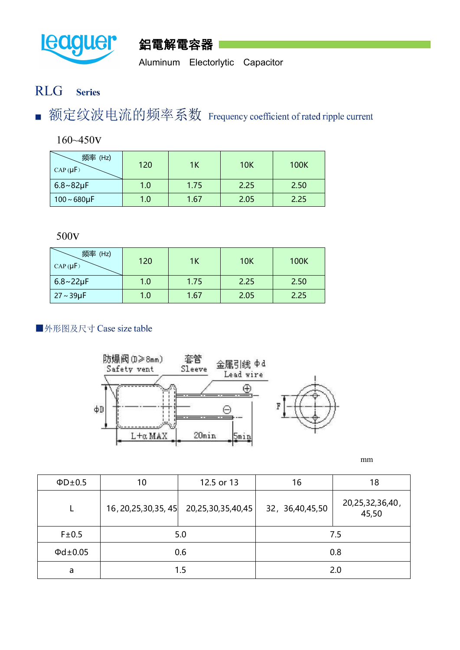



Aluminum Electorlytic Capacitor

#### **RLG Series**

额定纹波电流的频率系数 Frequency coefficient of rated ripple current T.

160~450v

| 频率 (Hz)<br>$\vert$ CAP( $\mu$ F) | 120 | 1K   | <b>10K</b> | <b>100K</b> |
|----------------------------------|-----|------|------------|-------------|
| $6.8 \sim 82 \mu F$              | 1.0 | 1.75 | 2.25       | 2.50        |
| $100 - 680 \mu F$                | 1.0 | 1.67 | 2.05       | 2.25        |

500v

| 频率 (Hz)<br>$CAP(\mu F)$ | 120 | 1K   | <b>10K</b> | <b>100K</b> |
|-------------------------|-----|------|------------|-------------|
| $6.8 - 22 \mu F$        | 1.0 | 1.75 | 2.25       | 2.50        |
| $27 - 39 \mu F$         | 1.0 | 1.67 | 2.05       | 2.25        |

### ■外形图及尺寸 Case size table



mm

| $\Phi$ D $\pm$ 0.5  | 10  | 12.5 or 13                                      | 16              | 18                       |  |
|---------------------|-----|-------------------------------------------------|-----------------|--------------------------|--|
| <b>.</b>            |     | $16, 20, 25, 30, 35, 45$ 20, 25, 30, 35, 40, 45 | 32, 36,40,45,50 | 20,25,32,36,40,<br>45,50 |  |
| F±0.5               |     | 5.0                                             | 7.5             |                          |  |
| $\Phi$ d $\pm$ 0.05 | 0.6 |                                                 | 0.8             |                          |  |
| a                   |     | 1.5                                             | 2.0             |                          |  |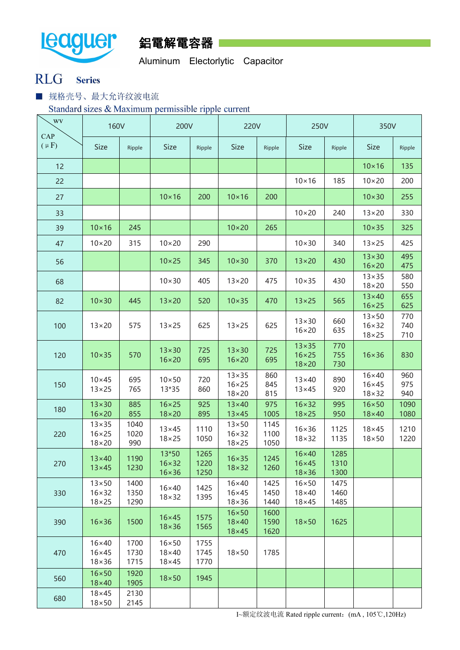



Aluminum Electorlytic Capacitor

### RLG Series

■ 规格壳号、最大允许纹波电流

Standard sizes & Maximum permissible ripple current

| $\sqrt{W}$       | <b>160V</b>                                        |                      | 200V                                            |                      | <b>220V</b>                                        |                      | 250V                                             |                      | 350V                                             |                   |
|------------------|----------------------------------------------------|----------------------|-------------------------------------------------|----------------------|----------------------------------------------------|----------------------|--------------------------------------------------|----------------------|--------------------------------------------------|-------------------|
| CAP<br>$(\mu F)$ | <b>Size</b>                                        | Ripple               | <b>Size</b>                                     | Ripple               | <b>Size</b>                                        | Ripple               | Size                                             | Ripple               | <b>Size</b>                                      | Ripple            |
| 12               |                                                    |                      |                                                 |                      |                                                    |                      |                                                  |                      | $10\times 16$                                    | 135               |
| 22               |                                                    |                      |                                                 |                      |                                                    |                      | $10\times 16$                                    | 185                  | $10 \times 20$                                   | 200               |
| 27               |                                                    |                      | $10\times 16$                                   | 200                  | $10\times 16$                                      | 200                  |                                                  |                      | $10\times30$                                     | 255               |
| 33               |                                                    |                      |                                                 |                      |                                                    |                      | $10 \times 20$                                   | 240                  | $13 \times 20$                                   | 330               |
| 39               | $10\times 16$                                      | 245                  |                                                 |                      | $10\times20$                                       | 265                  |                                                  |                      | $10 \times 35$                                   | 325               |
| 47               | $10 \times 20$                                     | 315                  | $10 \times 20$                                  | 290                  |                                                    |                      | $10 \times 30$                                   | 340                  | $13 \times 25$                                   | 425               |
| 56               |                                                    |                      | $10 \times 25$                                  | 345                  | $10\times30$                                       | 370                  | $13 \times 20$                                   | 430                  | $13 \times 30$<br>$16 \times 20$                 | 495<br>475        |
| 68               |                                                    |                      | $10 \times 30$                                  | 405                  | $13 \times 20$                                     | 475                  | $10 \times 35$                                   | 430                  | $13 \times 35$<br>$18 \times 20$                 | 580<br>550        |
| 82               | $10\times30$                                       | 445                  | $13 \times 20$                                  | 520                  | $10 \times 35$                                     | 470                  | $13 \times 25$                                   | 565                  | $13\times40$<br>$16 \times 25$                   | 655<br>625        |
| 100              | $13 \times 20$                                     | 575                  | $13 \times 25$                                  | 625                  | $13 \times 25$                                     | 625                  | $13\times30$<br>$16 \times 20$                   | 660<br>635           | $13\times50$<br>$16 \times 32$<br>$18 \times 25$ | 770<br>740<br>710 |
| 120              | $10 \times 35$                                     | 570                  | $13\times30$<br>$16 \times 20$                  | 725<br>695           | $13\times30$<br>$16 \times 20$                     | 725<br>695           | $13 \times 35$<br>$16 \times 25$<br>$18\times20$ | 770<br>755<br>730    | $16\times36$                                     | 830               |
| 150              | $10\times 45$<br>$13 \times 25$                    | 695<br>765           | $10\times50$<br>13*35                           | 720<br>860           | $13 \times 35$<br>$16 \times 25$<br>$18 \times 20$ | 860<br>845<br>815    | $13\times40$<br>$13 \times 45$                   | 890<br>920           | $16\times40$<br>$16\times 45$<br>$18 \times 32$  | 960<br>975<br>940 |
| 180              | $13\times30$<br>$16 \times 20$                     | 885<br>855           | $16 \times 25$<br>$18\times20$                  | 925<br>895           | $13\times40$<br>$13 \times 45$                     | 975<br>1005          | $16 \times 32$<br>$18 \times 25$                 | 995<br>950           | $16 \times 50$<br>$18\times 40$                  | 1090<br>1080      |
| 220              | $13 \times 35$<br>$16 \times 25$<br>$18 \times 20$ | 1040<br>1020<br>990  | $13 \times 45$<br>$18 \times 25$                | 1110<br>1050         | $13\times50$<br>$16 \times 32$<br>$18 \times 25$   | 1145<br>1100<br>1050 | $16 \times 36$<br>$18 \times 32$                 | 1125<br>1135         | $18\times 45$<br>$18\times50$                    | 1210<br>1220      |
| 270              | $13\times40$<br>$13\times 45$                      | 1190<br>1230         | 13*50<br>$16 \times 32$<br>$16 \times 36$       | 1265<br>1220<br>1250 | $16 \times 35$<br>$18 \times 32$                   | 1245<br>1260         | $16\times40$<br>$16\times 45$<br>$18 \times 36$  | 1285<br>1310<br>1300 |                                                  |                   |
| 330              | $13\times50$<br>$16 \times 32$<br>$18 \times 25$   | 1400<br>1350<br>1290 | $16\times 40$<br>$18 \times 32$                 | 1425<br>1395         | $16\times40$<br>$16 \times 45$<br>$18 \times 36$   | 1425<br>1450<br>1440 | $16 \times 50$<br>$18\times40$<br>$18\times 45$  | 1475<br>1460<br>1485 |                                                  |                   |
| 390              | $16 \times 36$                                     | 1500                 | $16\times 45$<br>$18 \times 36$                 | 1575<br>1565         | $16\times 50$<br>$18\times 40$<br>$18\times 45$    | 1600<br>1590<br>1620 | $18\times50$                                     | 1625                 |                                                  |                   |
| 470              | $16\times40$<br>$16 \times 45$<br>$18 \times 36$   | 1700<br>1730<br>1715 | $16 \times 50$<br>$18\times40$<br>$18\times 45$ | 1755<br>1745<br>1770 | $18\times50$                                       | 1785                 |                                                  |                      |                                                  |                   |
| 560              | $16 \times 50$<br>$18\times 40$                    | 1920<br>1905         | $18\times 50$                                   | 1945                 |                                                    |                      |                                                  |                      |                                                  |                   |
| 680              | $18\times 45$<br>$18 \times 50$                    | 2130<br>2145         |                                                 |                      |                                                    |                      |                                                  |                      |                                                  |                   |

I~额定纹波电流 Rated ripple current:(mA , 105℃,120Hz)